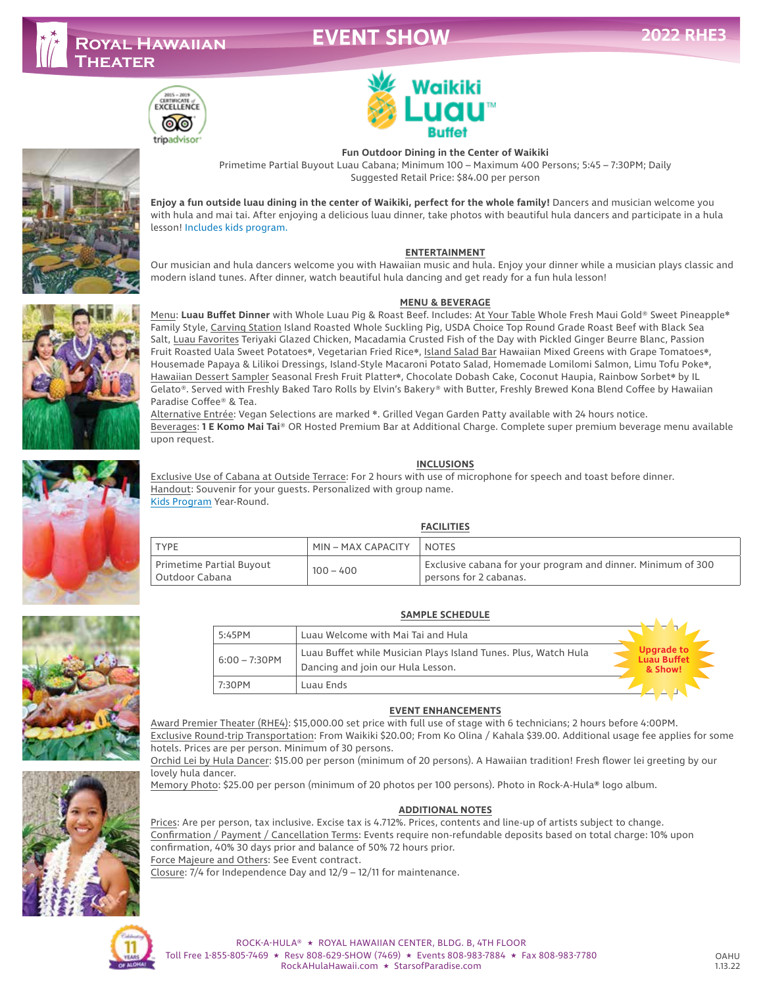# **EVENT SHO**









**Enjoy a fun outside luau dining in the center of Waikiki, perfect for the whole family!** Dancers and musician welcome you with hula and mai tai. After enjoying a delicious luau dinner, take photos with beautiful hula dancers and participate in a hula lesson! Includes kids program.

#### **ENTERTAINMENT**

Our musician and hula dancers welcome you with Hawaiian music and hula. Enjoy your dinner while a musician plays classic and modern island tunes. After dinner, watch beautiful hula dancing and get ready for a fun hula lesson!

#### **MENU & BEVERAGE**

Menu: **Luau Buffet Dinner** with Whole Luau Pig & Roast Beef. Includes: At Your Table Whole Fresh Maui Gold® Sweet Pineapple❋ Family Style, Carving Station Island Roasted Whole Suckling Pig, USDA Choice Top Round Grade Roast Beef with Black Sea Salt, Luau Favorites Teriyaki Glazed Chicken, Macadamia Crusted Fish of the Day with Pickled Ginger Beurre Blanc, Passion Fruit Roasted Uala Sweet Potatoes❋, Vegetarian Fried Rice❋, Island Salad Bar Hawaiian Mixed Greens with Grape Tomatoes❋, Housemade Papaya & Lilikoi Dressings, Island-Style Macaroni Potato Salad, Homemade Lomilomi Salmon, Limu Tofu Poke❋, Hawaiian Dessert Sampler Seasonal Fresh Fruit Platter❋, Chocolate Dobash Cake, Coconut Haupia, Rainbow Sorbet❋ by IL Gelato®. Served with Freshly Baked Taro Rolls by Elvin's Bakery® with Butter, Freshly Brewed Kona Blend Coffee by Hawaiian Paradise Coffee® & Tea.

Alternative Entrée: Vegan Selections are marked ❋. Grilled Vegan Garden Patty available with 24 hours notice. Beverages: **1 E Komo Mai Tai**® OR Hosted Premium Bar at Additional Charge. Complete super premium beverage menu available upon request.

#### **INCLUSIONS**

Exclusive Use of Cabana at Outside Terrace: For 2 hours with use of microphone for speech and toast before dinner. Handout: Souvenir for your guests. Personalized with group name. Kids Program Year-Round.

### **FACILITIES**

|                                              |                    | .                                                                                      |
|----------------------------------------------|--------------------|----------------------------------------------------------------------------------------|
| TYPE                                         | MIN – MAX CAPACITY | <b>NOTES</b>                                                                           |
| Primetime Partial Buyout<br>I Outdoor Cabana | $100 - 400$        | Exclusive cabana for your program and dinner. Minimum of 300<br>persons for 2 cabanas. |



| 5:45PM           | Luau Welcome with Mai Tai and Hula                                                                   |                                                    |
|------------------|------------------------------------------------------------------------------------------------------|----------------------------------------------------|
| $6:00 - 7:30$ PM | Luau Buffet while Musician Plays Island Tunes. Plus, Watch Hula<br>Dancing and join our Hula Lesson. | <b>Upgrade to</b><br><b>Luau Buffet</b><br>& Show! |
| 7:30PM           | Luau Ends                                                                                            |                                                    |

#### **EVENT ENHANCEMENTS**

Award Premier Theater (RHE4): \$15,000.00 set price with full use of stage with 6 technicians; 2 hours before 4:00PM. Exclusive Round-trip Transportation: From Waikiki \$20.00; From Ko Olina / Kahala \$39.00. Additional usage fee applies for some hotels. Prices are per person. Minimum of 30 persons.

Orchid Lei by Hula Dancer: \$15.00 per person (minimum of 20 persons). A Hawaiian tradition! Fresh flower lei greeting by our lovely hula dancer.

Memory Photo: \$25.00 per person (minimum of 20 photos per 100 persons). Photo in Rock-A-Hula**®** logo album.

### **ADDITIONAL NOTES**

Prices: Are per person, tax inclusive. Excise tax is 4.712%. Prices, contents and line-up of artists subject to change. Confirmation / Payment / Cancellation Terms: Events require non-refundable deposits based on total charge: 10% upon confirmation, 40% 30 days prior and balance of 50% 72 hours prior. Force Majeure and Others: See Event contract.

Closure: 7/4 for Independence Day and 12/9 – 12/11 for maintenance.